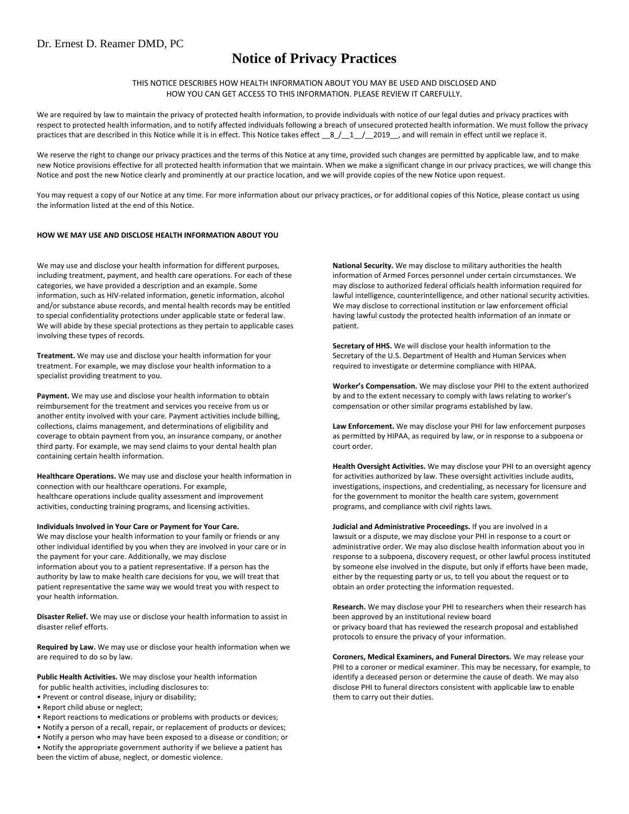# **Notice of Privacy Practices**

THIS NOTICE DESCRIBES HOW HEALTH INFORMATION ABOUT YOU MAY BE USED AND DISCLOSED AND HOW YOU CAN GET ACCESS TO THIS INFORMATION. PLEASE REVIEW IT CAREFULLY.

We are required by law to maintain the privacy of protected health information, to provide individuals with notice of our legal duties and privacy practices with respect to protected health information, and to notify affected individuals following a breach of unsecured protected health information. We must follow the privacy practices that are described in this Notice while it is in effect. This Notice takes effect  $8/11/2019$ , and will remain in effect until we replace it.

We reserve the right to change our privacy practices and the terms of this Notice at any time, provided such changes are permitted by applicable law, and to make new Notice provisions effective for all protected health information that we maintain. When we make a significant change in our privacy practices, we will change this Notice and post the new Notice clearly and prominently at our practice location, and we will provide copies of the new Notice upon request.

You may request a copy of our Notice at any time. For more information about our privacy practices, or for additional copies of this Notice, please contact us using the information listed at the end of this Notice.

## **HOW WE MAY USE AND DISCLOSE HEALTH INFORMATION ABOUT YOU**

We may use and disclose your health information for different purposes, including treatment, payment, and health care operations. For each of these categories, we have provided a description and an example. Some information, such as HIV-related information, genetic information, alcohol and/or substance abuse records, and mental health records may be entitled to special confidentiality protections under applicable state or federal law. We will abide by these special protections as they pertain to applicable cases involving these types of records.

**Treatment.** We may use and disclose your health information for your treatment. For example, we may disclose your health information to a specialist providing treatment to you.

**Payment.** We may use and disclose your health information to obtain reimbursement for the treatment and services you receive from us or another entity involved with your care. Payment activities include billing, collections, claims management, and determinations of eligibility and coverage to obtain payment from you, an insurance company, or another third party. For example, we may send claims to your dental health plan containing certain health information.

**Healthcare Operations.** We may use and disclose your health information in connection with our healthcare operations. For example, healthcare operations include quality assessment and improvement activities, conducting training programs, and licensing activities.

### **Individuals Involved in Your Care or Payment for Your Care.**

We may disclose your health information to your family or friends or any other individual identified by you when they are involved in your care or in the payment for your care. Additionally, we may disclose information about you to a patient representative. If a person has the authority by law to make health care decisions for you, we will treat that patient representative the same way we would treat you with respect to your health information.

**Disaster Relief.** We may use or disclose your health information to assist in disaster relief efforts.

**Required by Law.** We may use or disclose your health information when we are required to do so by law.

**Public Health Activities.** We may disclose your health information for public health activities, including disclosures to:

- Prevent or control disease, injury or disability;
- Report child abuse or neglect;
- Report reactions to medications or problems with products or devices;
- Notify a person of a recall, repair, or replacement of products or devices;
- Notify a person who may have been exposed to a disease or condition; or
- Notify the appropriate government authority if we believe a patient has been the victim of abuse, neglect, or domestic violence.

**National Security.** We may disclose to military authorities the health information of Armed Forces personnel under certain circumstances. We may disclose to authorized federal officials health information required for lawful intelligence, counterintelligence, and other national security activities. We may disclose to correctional institution or law enforcement official having lawful custody the protected health information of an inmate or patient.

**Secretary of HHS.** We will disclose your health information to the Secretary of the U.S. Department of Health and Human Services when required to investigate or determine compliance with HIPAA.

**Worker's Compensation.** We may disclose your PHI to the extent authorized by and to the extent necessary to comply with laws relating to worker's compensation or other similar programs established by law.

**Law Enforcement.** We may disclose your PHI for law enforcement purposes as permitted by HIPAA, as required by law, or in response to a subpoena or court order.

**Health Oversight Activities.** We may disclose your PHI to an oversight agency for activities authorized by law. These oversight activities include audits, investigations, inspections, and credentialing, as necessary for licensure and for the government to monitor the health care system, government programs, and compliance with civil rights laws.

**Judicial and Administrative Proceedings.** If you are involved in a lawsuit or a dispute, we may disclose your PHI in response to a court or administrative order. We may also disclose health information about you in response to a subpoena, discovery request, or other lawful process instituted by someone else involved in the dispute, but only if efforts have been made, either by the requesting party or us, to tell you about the request or to obtain an order protecting the information requested.

**Research.** We may disclose your PHI to researchers when their research has been approved by an institutional review board or privacy board that has reviewed the research proposal and established protocols to ensure the privacy of your information.

**Coroners, Medical Examiners, and Funeral Directors.** We may release your PHI to a coroner or medical examiner. This may be necessary, for example, to identify a deceased person or determine the cause of death. We may also disclose PHI to funeral directors consistent with applicable law to enable them to carry out their duties.